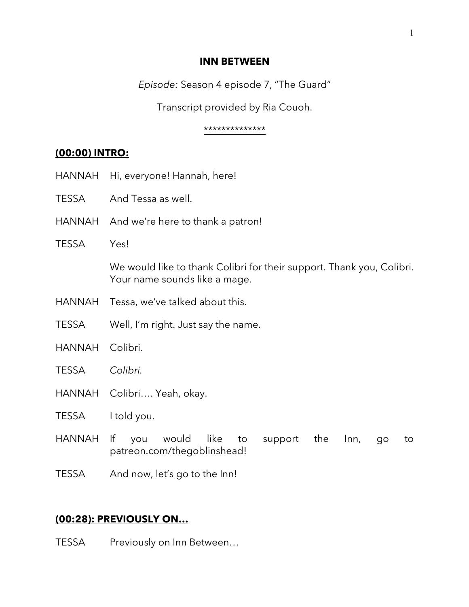#### **INN BETWEEN**

*Episode:* Season 4 episode 7, "The Guard"

Transcript provided by Ria Couoh.

#### \*\*\*\*\*\*\*\*\*\*\*\*\*\*

# **(00:00) INTRO:**

- HANNAH Hi, everyone! Hannah, here!
- TESSA And Tessa as well.
- HANNAH And we're here to thank a patron!
- TESSA Yes!

We would like to thank Colibri for their support. Thank you, Colibri. Your name sounds like a mage.

- HANNAH Tessa, we've talked about this.
- TESSA Well, I'm right. Just say the name.
- HANNAH Colibri.
- TESSA *Colibri.*
- HANNAH Colibri…. Yeah, okay.
- TESSA I told you.
- HANNAH If you would like to support the Inn, go to patreon.com/thegoblinshead!
- TESSA And now, let's go to the Inn!

# **(00:28): PREVIOUSLY ON…**

TESSA Previously on Inn Between...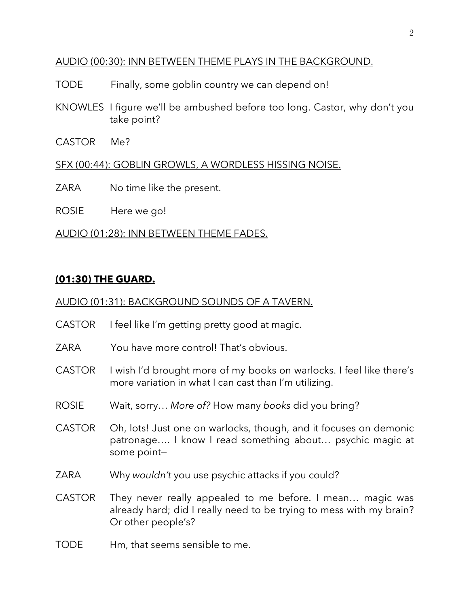## AUDIO (00:30): INN BETWEEN THEME PLAYS IN THE BACKGROUND.

- TODE Finally, some goblin country we can depend on!
- KNOWLES I figure we'll be ambushed before too long. Castor, why don't you take point?
- CASTOR Me?

## SFX (00:44): GOBLIN GROWLS, A WORDLESS HISSING NOISE.

ZARA No time like the present.

ROSIE Here we go!

## AUDIO (01:28): INN BETWEEN THEME FADES.

## **(01:30) THE GUARD.**

### AUDIO (01:31): BACKGROUND SOUNDS OF A TAVERN.

- CASTOR I feel like I'm getting pretty good at magic.
- ZARA You have more control! That's obvious.
- CASTOR I wish I'd brought more of my books on warlocks. I feel like there's more variation in what I can cast than I'm utilizing.
- ROSIE Wait, sorry… *More of?* How many *books* did you bring?
- CASTOR Oh, lots! Just one on warlocks, though, and it focuses on demonic patronage…. I know I read something about… psychic magic at some point—
- ZARA Why *wouldn't* you use psychic attacks if you could?
- CASTOR They never really appealed to me before. I mean… magic was already hard; did I really need to be trying to mess with my brain? Or other people's?
- TODE Hm, that seems sensible to me.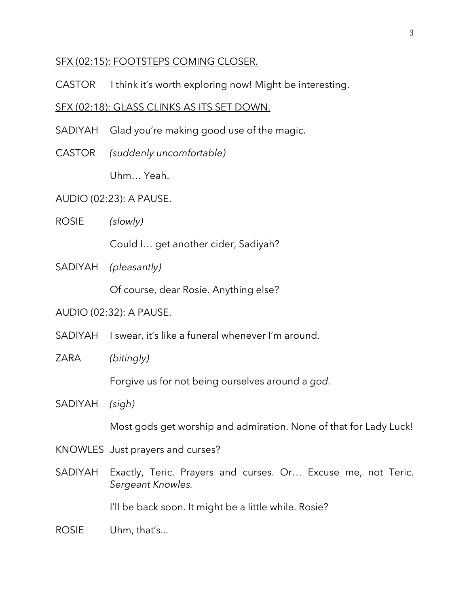#### SFX (02:15): FOOTSTEPS COMING CLOSER.

CASTOR I think it's worth exploring now! Might be interesting.

#### SFX (02:18): GLASS CLINKS AS ITS SET DOWN.

- SADIYAH Glad you're making good use of the magic.
- CASTOR *(suddenly uncomfortable)*

Uhm… Yeah.

#### AUDIO (02:23): A PAUSE.

ROSIE *(slowly)*

Could I… get another cider, Sadiyah?

SADIYAH *(pleasantly)*

Of course, dear Rosie. Anything else?

#### AUDIO (02:32): A PAUSE.

- SADIYAH I swear, it's like a funeral whenever I'm around.
- ZARA *(bitingly)*

Forgive us for not being ourselves around a *god.*

SADIYAH *(sigh)*

Most gods get worship and admiration. None of that for Lady Luck!

- KNOWLES Just prayers and curses?
- SADIYAH Exactly, Teric. Prayers and curses. Or… Excuse me, not Teric. *Sergeant Knowles.*

I'll be back soon. It might be a little while. Rosie?

ROSIE Uhm, that's...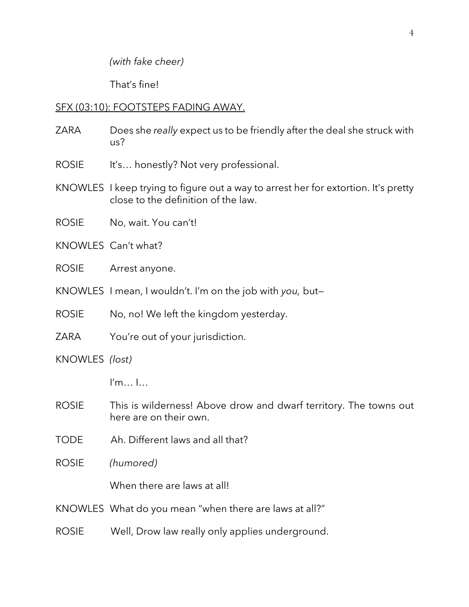*(with fake cheer)*

That's fine!

## SFX (03:10): FOOTSTEPS FADING AWAY.

- ZARA Does she *really* expect us to be friendly after the deal she struck with us?
- ROSIE It's... honestly? Not very professional.
- KNOWLES I keep trying to figure out a way to arrest her for extortion. It's pretty close to the definition of the law.
- ROSIE No, wait. You can't!
- KNOWLES Can't what?
- ROSIE Arrest anyone.
- KNOWLES I mean, I wouldn't. I'm on the job with *you,* but—
- ROSIE No, no! We left the kingdom yesterday.
- ZARA You're out of your jurisdiction.
- KNOWLES *(lost)*
	- I'm… I…
- ROSIE This is wilderness! Above drow and dwarf territory. The towns out here are on their own.
- TODE Ah. Different laws and all that?
- ROSIE *(humored)*

When there are laws at all!

- KNOWLES What do you mean "when there are laws at all?"
- ROSIE Well, Drow law really only applies underground.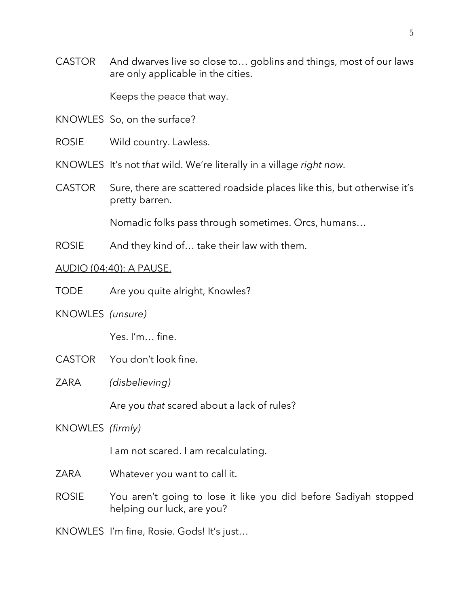CASTOR And dwarves live so close to… goblins and things, most of our laws are only applicable in the cities.

Keeps the peace that way.

KNOWLES So, on the surface?

ROSIE Wild country. Lawless.

KNOWLES It's not *that* wild. We're literally in a village *right now.*

CASTOR Sure, there are scattered roadside places like this, but otherwise it's pretty barren.

Nomadic folks pass through sometimes. Orcs, humans…

ROSIE And they kind of... take their law with them.

#### AUDIO (04:40): A PAUSE.

TODE Are you quite alright, Knowles?

KNOWLES *(unsure)*

Yes. I'm… fine.

- CASTOR You don't look fine.
- ZARA *(disbelieving)*

Are you *that* scared about a lack of rules?

KNOWLES *(firmly)*

I am not scared. I am recalculating.

ZARA Whatever you want to call it.

ROSIE You aren't going to lose it like you did before Sadiyah stopped helping our luck, are you?

KNOWLES I'm fine, Rosie. Gods! It's just…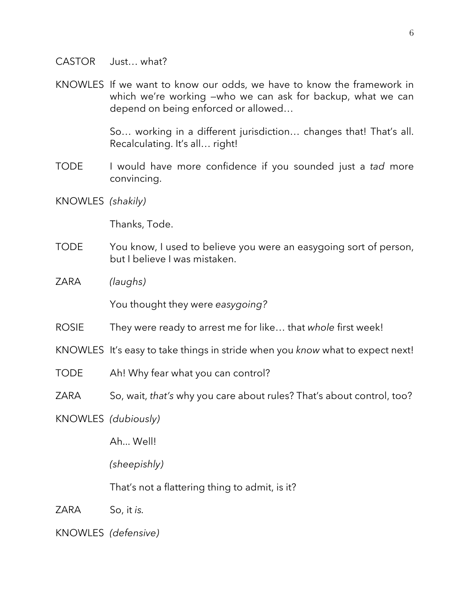#### CASTOR Just… what?

KNOWLES If we want to know our odds, we have to know the framework in which we're working —who we can ask for backup, what we can depend on being enforced or allowed…

> So… working in a different jurisdiction… changes that! That's all. Recalculating. It's all… right!

- TODE I would have more confidence if you sounded just a *tad* more convincing.
- KNOWLES *(shakily)*

Thanks, Tode.

- TODE You know, I used to believe you were an easygoing sort of person, but I believe I was mistaken.
- ZARA *(laughs)*

You thought they were *easygoing?*

- ROSIE They were ready to arrest me for like… that *whole* first week!
- KNOWLES It's easy to take things in stride when you *know* what to expect next!
- TODE Ah! Why fear what you can control?
- ZARA So, wait, *that's* why you care about rules? That's about control, too?

KNOWLES *(dubiously)*

Ah... Well!

*(sheepishly)*

That's not a flattering thing to admit, is it?

ZARA So, it *is.*

KNOWLES *(defensive)*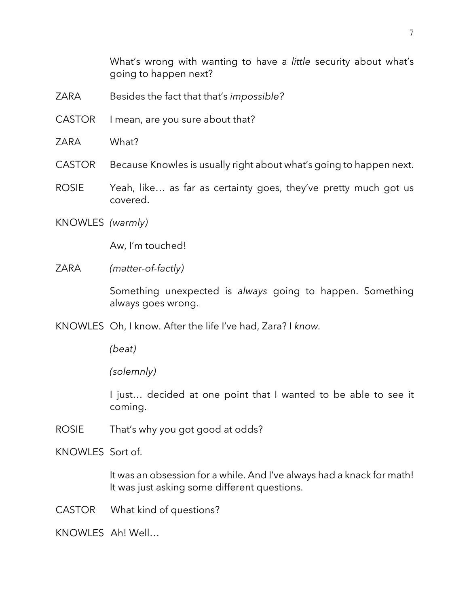What's wrong with wanting to have a *little* security about what's going to happen next?

- ZARA Besides the fact that that's *impossible?*
- CASTOR I mean, are you sure about that?
- ZARA What?

CASTOR Because Knowles is usually right about what's going to happen next.

- ROSIE Yeah, like… as far as certainty goes, they've pretty much got us covered.
- KNOWLES *(warmly)*

Aw, I'm touched!

ZARA *(matter-of-factly)*

Something unexpected is *always* going to happen. Something always goes wrong.

KNOWLES Oh, I know. After the life I've had, Zara? I *know.*

*(beat)*

*(solemnly)*

I just... decided at one point that I wanted to be able to see it coming.

ROSIE That's why you got good at odds?

KNOWLES Sort of.

It was an obsession for a while. And I've always had a knack for math! It was just asking some different questions.

CASTOR What kind of questions?

KNOWLES Ah! Well…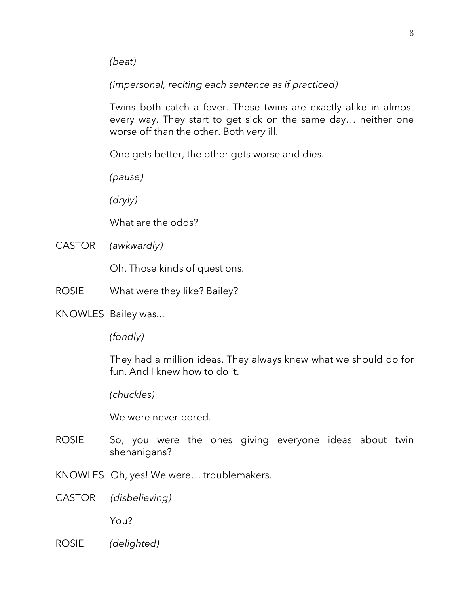*(beat)*

*(impersonal, reciting each sentence as if practiced)*

Twins both catch a fever. These twins are exactly alike in almost every way. They start to get sick on the same day… neither one worse off than the other. Both *very* ill.

One gets better, the other gets worse and dies.

*(pause)*

*(dryly)*

What are the odds?

CASTOR *(awkwardly)*

Oh. Those kinds of questions.

- ROSIE What were they like? Bailey?
- KNOWLES Bailey was...

*(fondly)*

They had a million ideas. They always knew what we should do for fun. And I knew how to do it.

*(chuckles)*

We were never bored.

- ROSIE So, you were the ones giving everyone ideas about twin shenanigans?
- KNOWLES Oh, yes! We were… troublemakers.
- CASTOR *(disbelieving)*

You?

ROSIE *(delighted)*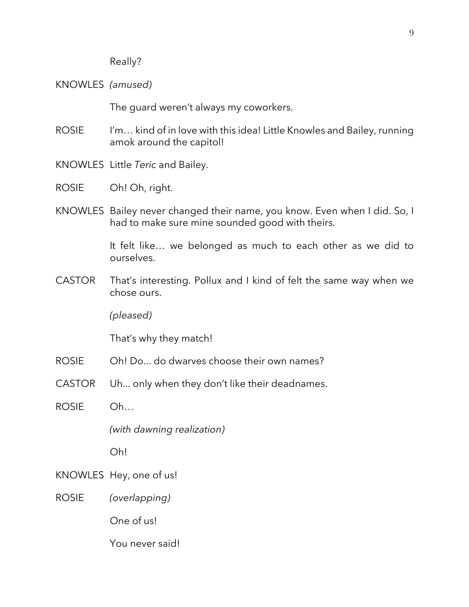Really?

KNOWLES *(amused)*

The guard weren't always my coworkers.

- ROSIE I'm... kind of in love with this idea! Little Knowles and Bailey, running amok around the capitol!
- KNOWLES Little *Teric* and Bailey.
- ROSIE Oh! Oh, right.
- KNOWLES Bailey never changed their name, you know. Even when I did. So, I had to make sure mine sounded good with theirs.

It felt like… we belonged as much to each other as we did to ourselves.

CASTOR That's interesting. Pollux and I kind of felt the same way when we chose ours.

*(pleased)*

That's why they match!

- ROSIE Oh! Do... do dwarves choose their own names?
- CASTOR Uh... only when they don't like their deadnames.

ROSIE Oh…

*(with dawning realization)*

Oh!

- KNOWLES Hey, one of us!
- ROSIE *(overlapping)*

One of us!

You never said!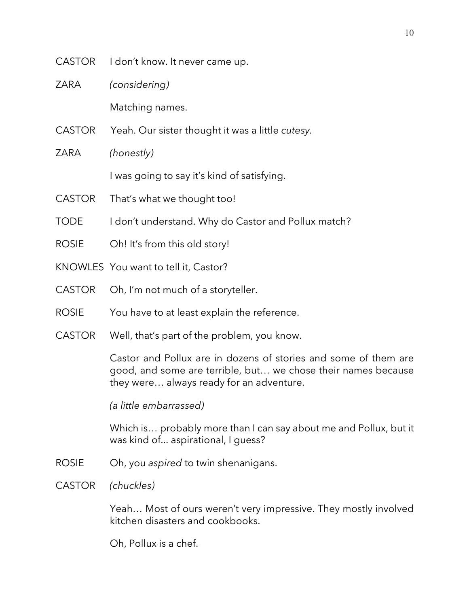- CASTOR I don't know. It never came up.
- ZARA *(considering)*

Matching names.

- CASTOR Yeah. Our sister thought it was a little *cutesy.*
- ZARA *(honestly)* I was going to say it's kind of satisfying.
- CASTOR That's what we thought too!
- TODE I don't understand. Why do Castor and Pollux match?
- ROSIE Oh! It's from this old story!
- KNOWLES You want to tell it, Castor?
- CASTOR Oh, I'm not much of a storyteller.
- ROSIE You have to at least explain the reference.
- CASTOR Well, that's part of the problem, you know.

Castor and Pollux are in dozens of stories and some of them are good, and some are terrible, but… we chose their names because they were… always ready for an adventure.

*(a little embarrassed)*

Which is… probably more than I can say about me and Pollux, but it was kind of... aspirational, I guess?

- ROSIE Oh, you *aspired* to twin shenanigans.
- CASTOR *(chuckles)*

Yeah… Most of ours weren't very impressive. They mostly involved kitchen disasters and cookbooks.

Oh, Pollux is a chef.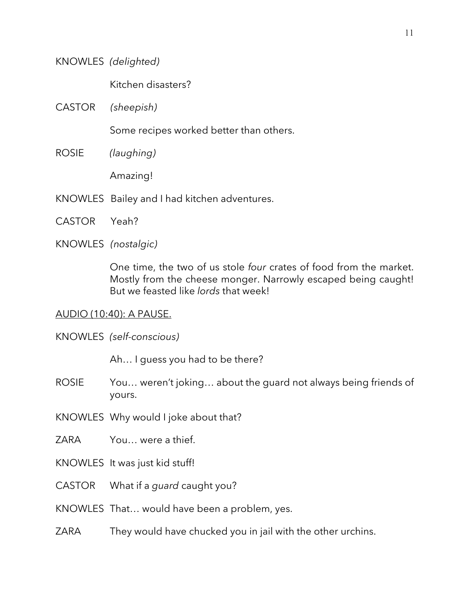### KNOWLES *(delighted)*

Kitchen disasters?

CASTOR *(sheepish)*

Some recipes worked better than others.

ROSIE *(laughing)*

Amazing!

- KNOWLES Bailey and I had kitchen adventures.
- CASTOR Yeah?

#### KNOWLES *(nostalgic)*

One time, the two of us stole *four* crates of food from the market. Mostly from the cheese monger. Narrowly escaped being caught! But we feasted like *lords* that week!

#### AUDIO (10:40): A PAUSE.

KNOWLES *(self-conscious)*

Ah… I guess you had to be there?

- ROSIE You… weren't joking… about the guard not always being friends of yours.
- KNOWLES Why would I joke about that?
- ZARA You… were a thief.
- KNOWLES It was just kid stuff!
- CASTOR What if a *guard* caught you?
- KNOWLES That… would have been a problem, yes.
- ZARA They would have chucked you in jail with the other urchins.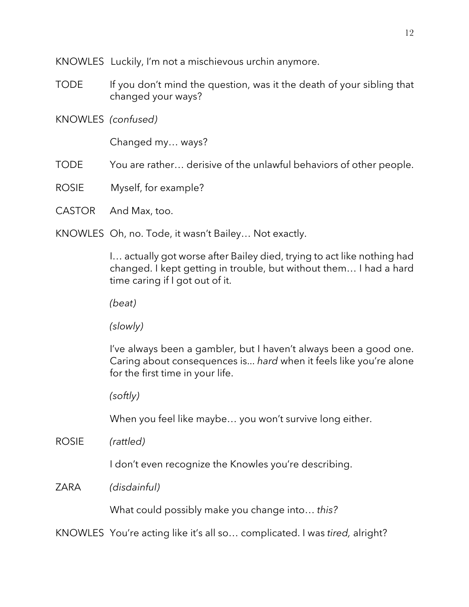KNOWLES Luckily, I'm not a mischievous urchin anymore.

- TODE If you don't mind the question, was it the death of your sibling that changed your ways?
- KNOWLES *(confused)*

Changed my… ways?

TODE You are rather… derisive of the unlawful behaviors of other people.

- ROSIE Myself, for example?
- CASTOR And Max, too.

KNOWLES Oh, no. Tode, it wasn't Bailey… Not exactly.

I… actually got worse after Bailey died, trying to act like nothing had changed. I kept getting in trouble, but without them… I had a hard time caring if I got out of it.

*(beat)*

*(slowly)*

I've always been a gambler, but I haven't always been a good one. Caring about consequences is... *hard* when it feels like you're alone for the first time in your life.

*(softly)*

When you feel like maybe… you won't survive long either.

ROSIE *(rattled)*

I don't even recognize the Knowles you're describing.

ZARA *(disdainful)*

What could possibly make you change into… *this?*

KNOWLES You're acting like it's all so… complicated. I was *tired,* alright?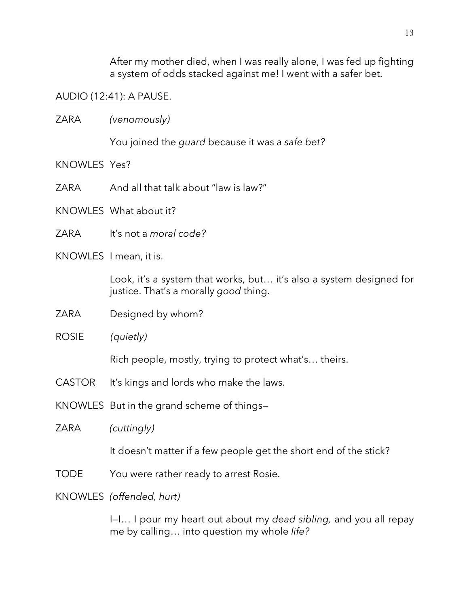After my mother died, when I was really alone, I was fed up fighting a system of odds stacked against me! I went with a safer bet.

## AUDIO (12:41): A PAUSE.

ZARA *(venomously)*

You joined the *guard* because it was a *safe bet?*

- KNOWLES Yes?
- ZARA And all that talk about "law is law?"
- KNOWLES What about it?
- ZARA It's not a *moral code?*
- KNOWLES I mean, it is.

Look, it's a system that works, but… it's also a system designed for justice. That's a morally *good* thing.

- ZARA Designed by whom?
- ROSIE *(quietly)*

Rich people, mostly, trying to protect what's… theirs.

- CASTOR It's kings and lords who make the laws.
- KNOWLES But in the grand scheme of things—
- ZARA *(cuttingly)*

It doesn't matter if a few people get the short end of the stick?

- TODE You were rather ready to arrest Rosie.
- KNOWLES *(offended, hurt)*

I—I… I pour my heart out about my *dead sibling,* and you all repay me by calling… into question my whole *life?*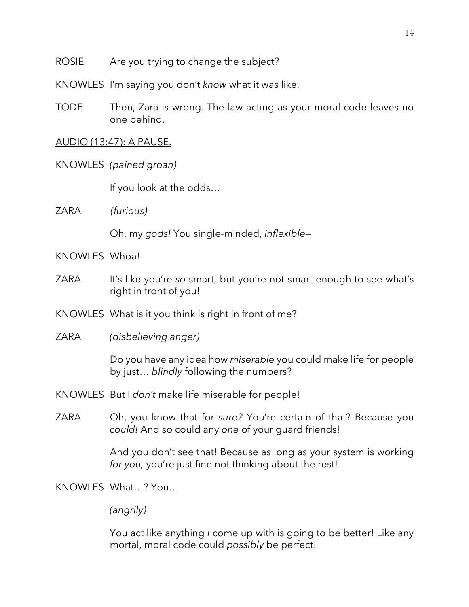- ROSIE Are you trying to change the subject?
- KNOWLES I'm saying you don't *know* what it was like.
- TODE Then, Zara is wrong. The law acting as your moral code leaves no one behind.

#### AUDIO (13:47): A PAUSE.

KNOWLES *(pained groan)*

If you look at the odds…

ZARA *(furious)*

Oh, my *gods!* You single-minded, *inflexible—*

- KNOWLES Whoa!
- ZARA It's like you're so smart, but you're not smart enough to see what's right in front of you!
- KNOWLES What is it you think is right in front of me?
- ZARA *(disbelieving anger)*

Do you have any idea how *miserable* you could make life for people by just… *blindly* following the numbers?

- KNOWLES But I *don't* make life miserable for people!
- ZARA Oh, you know that for *sure?* You're certain of that? Because you *could!* And so could any *one* of your guard friends!

And you don't see that! Because as long as your system is working *for you,* you're just fine not thinking about the rest!

KNOWLES What…? You…

*(angrily)*

You act like anything *I* come up with is going to be better! Like any mortal, moral code could *possibly* be perfect!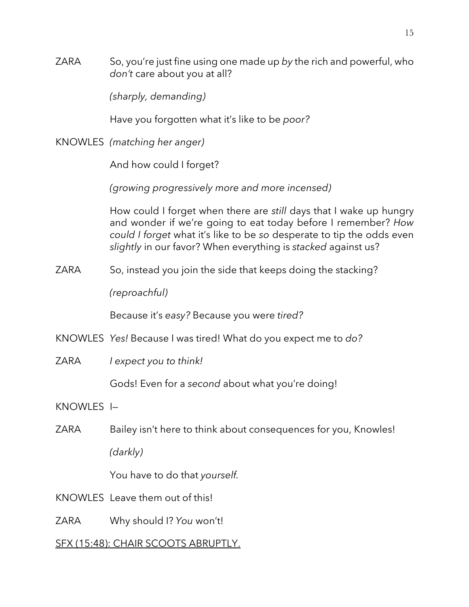ZARA So, you're just fine using one made up *by* the rich and powerful, who *don't* care about you at all?

*(sharply, demanding)*

Have you forgotten what it's like to be *poor?*

KNOWLES *(matching her anger)*

And how could I forget?

*(growing progressively more and more incensed)*

How could I forget when there are *still* days that I wake up hungry and wonder if we're going to eat today before I remember? *How could I forget* what it's like to be *so* desperate to tip the odds even *slightly* in our favor? When everything is *stacked* against us?

ZARA So, instead you join the side that keeps doing the stacking?

*(reproachful)*

Because it's *easy?* Because you were *tired?*

- KNOWLES *Yes!* Because I was tired! What do you expect me to *do?*
- ZARA *I expect you to think!*

Gods! Even for a *second* about what you're doing!

KNOWLES I—

ZARA Bailey isn't here to think about consequences for you, Knowles! *(darkly)*

You have to do that *yourself.* 

- KNOWLES Leave them out of this!
- ZARA Why should I? *You* won't!

# SFX (15:48): CHAIR SCOOTS ABRUPTLY.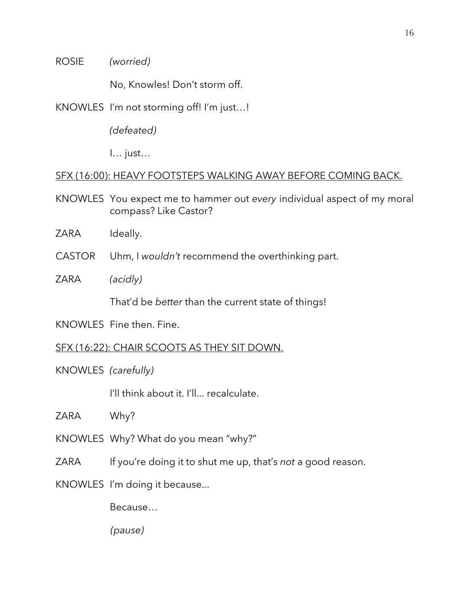ROSIE *(worried)*

No, Knowles! Don't storm off.

KNOWLES I'm not storming off! I'm just…!

*(defeated)*

I… just…

## SFX (16:00): HEAVY FOOTSTEPS WALKING AWAY BEFORE COMING BACK.

KNOWLES You expect me to hammer out *every* individual aspect of my moral compass? Like Castor?

ZARA Ideally.

CASTOR Uhm, I *wouldn't* recommend the overthinking part.

ZARA *(acidly)*

That'd be *better* than the current state of things!

KNOWLES Fine then. Fine.

SFX (16:22): CHAIR SCOOTS AS THEY SIT DOWN.

KNOWLES *(carefully)*

I'll think about it. I'll... recalculate.

ZARA Why?

KNOWLES Why? What do you mean "why?"

ZARA If you're doing it to shut me up, that's *not* a good reason.

KNOWLES I'm doing it because...

Because…

*(pause)*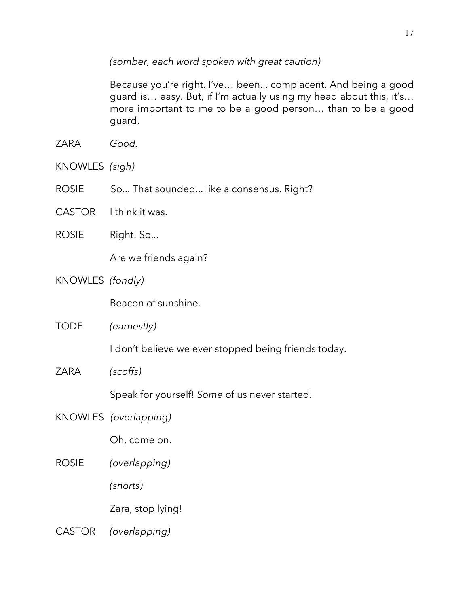*(somber, each word spoken with great caution)*

Because you're right. I've… been... complacent. And being a good guard is… easy. But, if I'm actually using my head about this, it's… more important to me to be a good person… than to be a good guard.

- ZARA *Good.*
- KNOWLES *(sigh)*
- ROSIE So... That sounded... like a consensus. Right?
- CASTOR I think it was.
- ROSIE Right! So...

Are we friends again?

KNOWLES *(fondly)*

Beacon of sunshine.

TODE *(earnestly)*

I don't believe we ever stopped being friends today.

ZARA *(scoffs)*

Speak for yourself! *Some* of us never started.

KNOWLES *(overlapping)*

Oh, come on.

ROSIE *(overlapping)*

*(snorts)*

Zara, stop lying!

CASTOR *(overlapping)*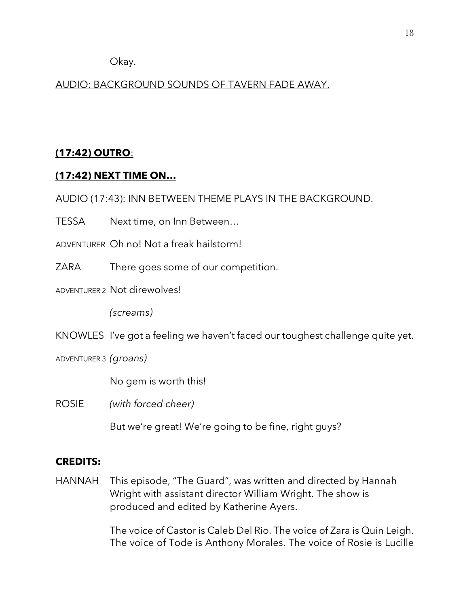Okay.

# AUDIO: BACKGROUND SOUNDS OF TAVERN FADE AWAY.

# **(17:42) OUTRO**:

# **(17:42) NEXT TIME ON…**

# AUDIO (17:43): INN BETWEEN THEME PLAYS IN THE BACKGROUND.

TESSA Next time, on Inn Between…

ADVENTURER Oh no! Not a freak hailstorm!

ZARA There goes some of our competition.

ADVENTURER 2 Not direwolves!

*(screams)*

KNOWLES I've got a feeling we haven't faced our toughest challenge quite yet.

ADVENTURER 3 *(groans)*

No gem is worth this!

ROSIE *(with forced cheer)*

But we're great! We're going to be fine, right guys?

# **CREDITS:**

HANNAH This episode, "The Guard", was written and directed by Hannah Wright with assistant director William Wright. The show is produced and edited by Katherine Ayers.

> The voice of Castor is Caleb Del Rio. The voice of Zara is Quin Leigh. The voice of Tode is Anthony Morales. The voice of Rosie is Lucille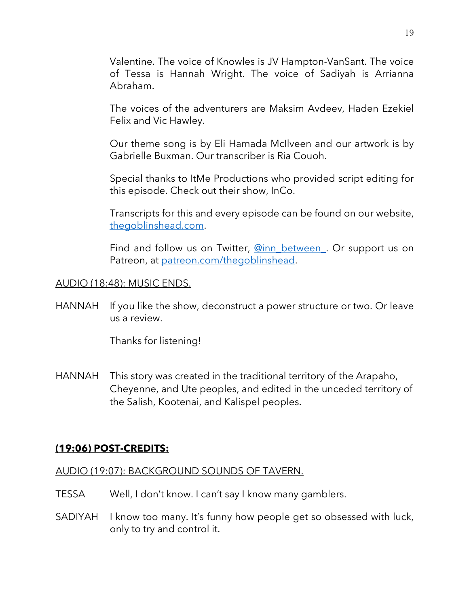Valentine. The voice of Knowles is JV Hampton-VanSant. The voice of Tessa is Hannah Wright. The voice of Sadiyah is Arrianna Abraham.

The voices of the adventurers are Maksim Avdeev, Haden Ezekiel Felix and Vic Hawley.

Our theme song is by Eli Hamada McIlveen and our artwork is by Gabrielle Buxman. Our transcriber is Ria Couoh.

Special thanks to ItMe Productions who provided script editing for this episode. Check out their show, InCo.

Transcripts for this and every episode can be found on our website, thegoblinshead.com.

Find and follow us on Twitter, **@inn\_between**. Or support us on Patreon, at patreon.com/thegoblinshead.

## AUDIO (18:48): MUSIC ENDS.

HANNAH If you like the show, deconstruct a power structure or two. Or leave us a review.

Thanks for listening!

HANNAH This story was created in the traditional territory of the Arapaho, Cheyenne, and Ute peoples, and edited in the unceded territory of the Salish, Kootenai, and Kalispel peoples.

# **(19:06) POST-CREDITS:**

## AUDIO (19:07): BACKGROUND SOUNDS OF TAVERN.

- TESSA Well, I don't know. I can't say I know many gamblers.
- SADIYAH I know too many. It's funny how people get so obsessed with luck, only to try and control it.